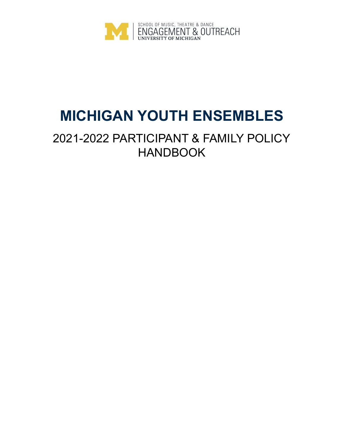

# **MICHIGAN YOUTH ENSEMBLES**

# 2021-2022 PARTICIPANT & FAMILY POLICY HANDBOOK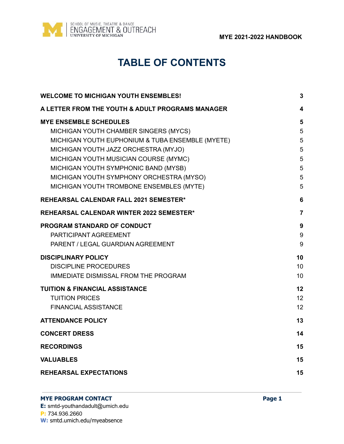

# **TABLE OF CONTENTS**

| <b>WELCOME TO MICHIGAN YOUTH ENSEMBLES!</b>                                                                                                                                                                                                                                                                                                 | $\mathbf{3}$                                      |
|---------------------------------------------------------------------------------------------------------------------------------------------------------------------------------------------------------------------------------------------------------------------------------------------------------------------------------------------|---------------------------------------------------|
| A LETTER FROM THE YOUTH & ADULT PROGRAMS MANAGER                                                                                                                                                                                                                                                                                            | 4                                                 |
| <b>MYE ENSEMBLE SCHEDULES</b><br>MICHIGAN YOUTH CHAMBER SINGERS (MYCS)<br>MICHIGAN YOUTH EUPHONIUM & TUBA ENSEMBLE (MYETE)<br>MICHIGAN YOUTH JAZZ ORCHESTRA (MYJO)<br>MICHIGAN YOUTH MUSICIAN COURSE (MYMC)<br>MICHIGAN YOUTH SYMPHONIC BAND (MYSB)<br>MICHIGAN YOUTH SYMPHONY ORCHESTRA (MYSO)<br>MICHIGAN YOUTH TROMBONE ENSEMBLES (MYTE) | 5<br>5<br>5<br>5<br>$\overline{5}$<br>5<br>5<br>5 |
| <b>REHEARSAL CALENDAR FALL 2021 SEMESTER*</b>                                                                                                                                                                                                                                                                                               | $6\phantom{1}6$                                   |
| <b>REHEARSAL CALENDAR WINTER 2022 SEMESTER*</b>                                                                                                                                                                                                                                                                                             | $\overline{7}$                                    |
| PROGRAM STANDARD OF CONDUCT<br>PARTICIPANT AGREEMENT<br>PARENT / LEGAL GUARDIAN AGREEMENT                                                                                                                                                                                                                                                   | 9<br>9<br>9                                       |
| <b>DISCIPLINARY POLICY</b><br><b>DISCIPLINE PROCEDURES</b><br><b>IMMEDIATE DISMISSAL FROM THE PROGRAM</b>                                                                                                                                                                                                                                   | 10<br>10<br>10                                    |
| <b>TUITION &amp; FINANCIAL ASSISTANCE</b><br><b>TUITION PRICES</b><br><b>FINANCIAL ASSISTANCE</b>                                                                                                                                                                                                                                           | 12<br>12<br>12                                    |
| <b>ATTENDANCE POLICY</b>                                                                                                                                                                                                                                                                                                                    | 13                                                |
| <b>CONCERT DRESS</b>                                                                                                                                                                                                                                                                                                                        | 14                                                |
| <b>RECORDINGS</b>                                                                                                                                                                                                                                                                                                                           | 15                                                |
| <b>VALUABLES</b>                                                                                                                                                                                                                                                                                                                            | 15                                                |
| <b>REHEARSAL EXPECTATIONS</b>                                                                                                                                                                                                                                                                                                               | 15                                                |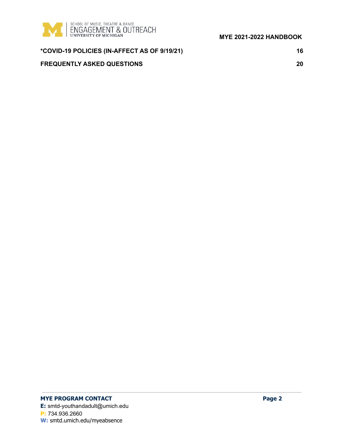

| *COVID-19 POLICIES (IN-AFFECT AS OF 9/19/21) | 16 |
|----------------------------------------------|----|
| <b>FREQUENTLY ASKED QUESTIONS</b>            | 20 |

# **MYE PROGRAM CONTACT Page 2**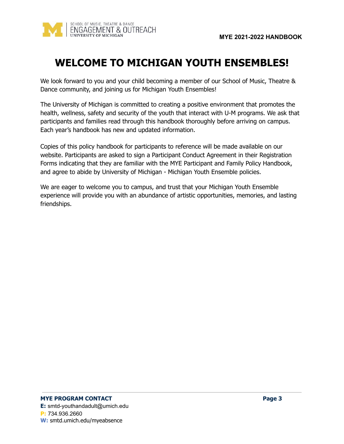

# <span id="page-3-0"></span>**WELCOME TO MICHIGAN YOUTH ENSEMBLES!**

We look forward to you and your child becoming a member of our School of Music, Theatre & Dance community, and joining us for Michigan Youth Ensembles!

The University of Michigan is committed to creating a positive environment that promotes the health, wellness, safety and security of the youth that interact with U-M programs. We ask that participants and families read through this handbook thoroughly before arriving on campus. Each year's handbook has new and updated information.

Copies of this policy handbook for participants to reference will be made available on our website. Participants are asked to sign a Participant Conduct Agreement in their Registration Forms indicating that they are familiar with the MYE Participant and Family Policy Handbook, and agree to abide by University of Michigan - Michigan Youth Ensemble policies.

We are eager to welcome you to campus, and trust that your Michigan Youth Ensemble experience will provide you with an abundance of artistic opportunities, memories, and lasting friendships.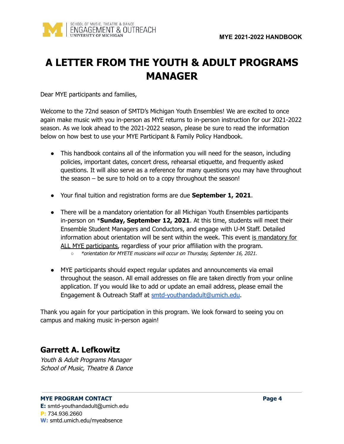

# <span id="page-4-0"></span>**A LETTER FROM THE YOUTH & ADULT PROGRAMS MANAGER**

Dear MYE participants and families,

Welcome to the 72nd season of SMTD's Michigan Youth Ensembles! We are excited to once again make music with you in-person as MYE returns to in-person instruction for our 2021-2022 season. As we look ahead to the 2021-2022 season, please be sure to read the information below on how best to use your MYE Participant & Family Policy Handbook.

- This handbook contains all of the information you will need for the season, including policies, important dates, concert dress, rehearsal etiquette, and frequently asked questions. It will also serve as a reference for many questions you may have throughout the season – be sure to hold on to a copy throughout the season!
- Your final tuition and registration forms are due **September 1, 2021**.
- There will be a mandatory orientation for all Michigan Youth Ensembles participants in-person on \***Sunday, September 12, 2021**. At this time, students will meet their Ensemble Student Managers and Conductors, and engage with U-M Staff. Detailed information about orientation will be sent within the week. This event is mandatory for ALL MYE participants, regardless of your prior affiliation with the program.
	- *○* \*orientation for MYETE musicians will occur on Thursday, September 16, 2021.
- MYE participants should expect regular updates and announcements via email throughout the season. All email addresses on file are taken directly from your online application. If you would like to add or update an email address, please email the Engagement & Outreach Staff at [smtd-youthandadult@umich.edu](mailto:smtd-youthandadult@umich.edu).

Thank you again for your participation in this program. We look forward to seeing you on campus and making music in-person again!

# **Garrett A. Lefkowitz**

Youth & Adult Programs Manager School of Music, Theatre & Dance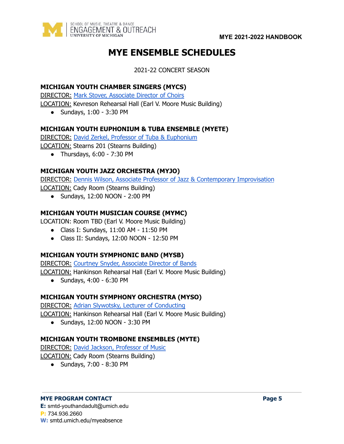<span id="page-5-0"></span>

# **MYE ENSEMBLE SCHEDULES**

2021-22 CONCERT SEASON

# <span id="page-5-1"></span>**MICHIGAN YOUTH CHAMBER SINGERS (MYCS)**

**DIRECTOR: Mark Stover, [Associate](https://smtd.umich.edu/about/faculty-profiles/mark-stover/) Director of Choirs** 

LOCATION: Kevreson Rehearsal Hall (Earl V. Moore Music Building)

● Sundays, 1:00 - 3:30 PM

# <span id="page-5-2"></span>**MICHIGAN YOUTH EUPHONIUM & TUBA ENSEMBLE (MYETE)**

DIRECTOR: David Zerkel, Professor of Tuba & [Euphonium](https://smtd.umich.edu/about/faculty-profiles/david-zerkel/)

LOCATION: Stearns 201 (Stearns Building)

● Thursdays, 6:00 - 7:30 PM

# <span id="page-5-3"></span>**MICHIGAN YOUTH JAZZ ORCHESTRA (MYJO)**

DIRECTOR: Dennis Wilson, Associate Professor of Jazz & [Contemporary](https://smtd.umich.edu/about/faculty-profiles/dennis-wilson/) Improvisation

LOCATION: Cady Room (Stearns Building)

● Sundays, 12:00 NOON - 2:00 PM

# <span id="page-5-4"></span>**MICHIGAN YOUTH MUSICIAN COURSE (MYMC)**

LOCATION: Room TBD (Earl V. Moore Music Building)

- Class I: Sundays, 11:00 AM 11:50 PM
- Class II: Sundays, 12:00 NOON 12:50 PM

# <span id="page-5-5"></span>**MICHIGAN YOUTH SYMPHONIC BAND (MYSB)**

DIRECTOR: Courtney Snyder, [Associate](https://smtd.umich.edu/about/faculty-profiles/courtney-snyder/) Director of Bands LOCATION: Hankinson Rehearsal Hall (Earl V. Moore Music Building)

● Sundays, 4:00 - 6:30 PM

# <span id="page-5-6"></span>**MICHIGAN YOUTH SYMPHONY ORCHESTRA (MYSO)**

DIRECTOR: Adrian Slywotsky, Lecturer of [Conducting](https://smtd.umich.edu/about/faculty-profiles/adrian-slywotzky/)

LOCATION: Hankinson Rehearsal Hall (Earl V. Moore Music Building)

● Sundays, 12:00 NOON - 3:30 PM

# <span id="page-5-7"></span>**MICHIGAN YOUTH TROMBONE ENSEMBLES (MYTE)**

DIRECTOR: David Jackson, [Professor](https://smtd.umich.edu/about/faculty-profiles/david-lee-jackson/) of Music LOCATION: Cady Room (Stearns Building)

● Sundays, 7:00 - 8:30 PM

#### **MYE PROGRAM CONTACT Page 5**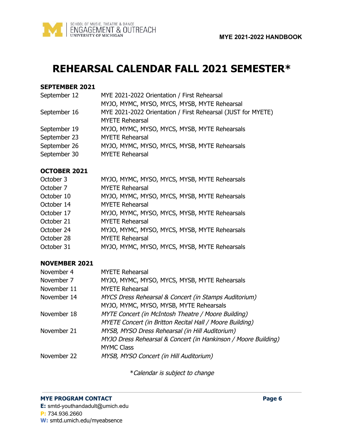

# <span id="page-6-0"></span>**REHEARSAL CALENDAR FALL 2021 SEMESTER\***

### **SEPTEMBER 2021**

| September 12 | MYE 2021-2022 Orientation / First Rehearsal                  |
|--------------|--------------------------------------------------------------|
|              | MYJO, MYMC, MYSO, MYCS, MYSB, MYTE Rehearsal                 |
| September 16 | MYE 2021-2022 Orientation / First Rehearsal (JUST for MYETE) |
|              | <b>MYETE Rehearsal</b>                                       |
| September 19 | MYJO, MYMC, MYSO, MYCS, MYSB, MYTE Rehearsals                |
| September 23 | <b>MYETE Rehearsal</b>                                       |
| September 26 | MYJO, MYMC, MYSO, MYCS, MYSB, MYTE Rehearsals                |
| September 30 | <b>MYETE Rehearsal</b>                                       |
|              |                                                              |

### **OCTOBER 2021**

| October 3  | MYJO, MYMC, MYSO, MYCS, MYSB, MYTE Rehearsals |
|------------|-----------------------------------------------|
| October 7  | <b>MYETE Rehearsal</b>                        |
| October 10 | MYJO, MYMC, MYSO, MYCS, MYSB, MYTE Rehearsals |
| October 14 | <b>MYETE Rehearsal</b>                        |
| October 17 | MYJO, MYMC, MYSO, MYCS, MYSB, MYTE Rehearsals |
| October 21 | <b>MYETE Rehearsal</b>                        |
| October 24 | MYJO, MYMC, MYSO, MYCS, MYSB, MYTE Rehearsals |
| October 28 | <b>MYETE Rehearsal</b>                        |
| October 31 | MYJO, MYMC, MYSO, MYCS, MYSB, MYTE Rehearsals |

# **NOVEMBER 2021**

| November 4  | <b>MYETE Rehearsal</b>                                         |
|-------------|----------------------------------------------------------------|
| November 7  | MYJO, MYMC, MYSO, MYCS, MYSB, MYTE Rehearsals                  |
| November 11 | <b>MYETE Rehearsal</b>                                         |
| November 14 | MYCS Dress Rehearsal & Concert (in Stamps Auditorium)          |
|             | MYJO, MYMC, MYSO, MYSB, MYTE Rehearsals                        |
| November 18 | MYTE Concert (in McIntosh Theatre / Moore Building)            |
|             | MYETE Concert (in Britton Recital Hall / Moore Building)       |
| November 21 | MYSB, MYSO Dress Rehearsal (in Hill Auditorium)                |
|             | MYJO Dress Rehearsal & Concert (in Hankinson / Moore Building) |
|             | <b>MYMC Class</b>                                              |
| November 22 | MYSB, MYSO Concert (in Hill Auditorium)                        |
|             |                                                                |

\*Calendar is subject to change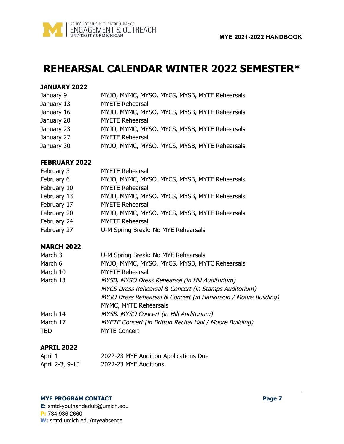

# <span id="page-7-0"></span>**REHEARSAL CALENDAR WINTER 2022 SEMESTER\***

#### **JANUARY 2022**

| January 9 |  |  |  |  |  |  | MYJO, MYMC, MYSO, MYCS, MYSB, MYTE Rehearsals |
|-----------|--|--|--|--|--|--|-----------------------------------------------|
|-----------|--|--|--|--|--|--|-----------------------------------------------|

- January 13 MYETE Rehearsal
- January 16 MYJO, MYMC, MYSO, MYCS, MYSB, MYTE Rehearsals
- January 20 MYETE Rehearsal
- January 23 MYJO, MYMC, MYSO, MYCS, MYSB, MYTE Rehearsals
- January 27 MYETE Rehearsal
- January 30 MYJO, MYMC, MYSO, MYCS, MYSB, MYTE Rehearsals

### **FEBRUARY 2022**

| February 3  | <b>MYETE Rehearsal</b>                        |
|-------------|-----------------------------------------------|
| February 6  | MYJO, MYMC, MYSO, MYCS, MYSB, MYTE Rehearsals |
| February 10 | <b>MYETE Rehearsal</b>                        |
| February 13 | MYJO, MYMC, MYSO, MYCS, MYSB, MYTE Rehearsals |
| February 17 | <b>MYETE Rehearsal</b>                        |
| February 20 | MYJO, MYMC, MYSO, MYCS, MYSB, MYTE Rehearsals |
| February 24 | <b>MYETE Rehearsal</b>                        |
| February 27 | U-M Spring Break: No MYE Rehearsals           |

# **MARCH 2022**

| March 3  | U-M Spring Break: No MYE Rehearsals                            |
|----------|----------------------------------------------------------------|
| March 6  | MYJO, MYMC, MYSO, MYCS, MYSB, MYTC Rehearsals                  |
| March 10 | <b>MYETE Rehearsal</b>                                         |
| March 13 | MYSB, MYSO Dress Rehearsal (in Hill Auditorium)                |
|          | MYCS Dress Rehearsal & Concert (in Stamps Auditorium)          |
|          | MYJO Dress Rehearsal & Concert (in Hankinson / Moore Building) |
|          | MYMC, MYTE Rehearsals                                          |
| March 14 | MYSB, MYSO Concert (in Hill Auditorium)                        |
| March 17 | MYETE Concert (in Britton Recital Hall / Moore Building)       |
| TBD      | <b>MYTE Concert</b>                                            |
|          |                                                                |

# **APRIL 2022**

| April 1         | 2022-23 MYE Audition Applications Due |
|-----------------|---------------------------------------|
| April 2-3, 9-10 | 2022-23 MYE Auditions                 |

#### **MYE PROGRAM CONTACT Page 7**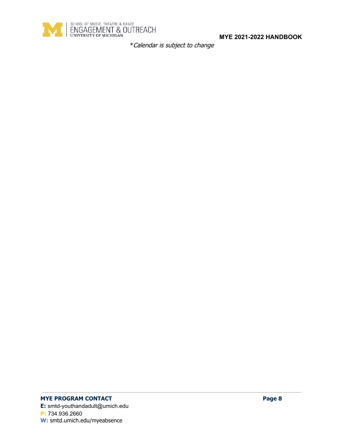

\*Calendar is subject to change

# **MYE PROGRAM CONTACT Page 8**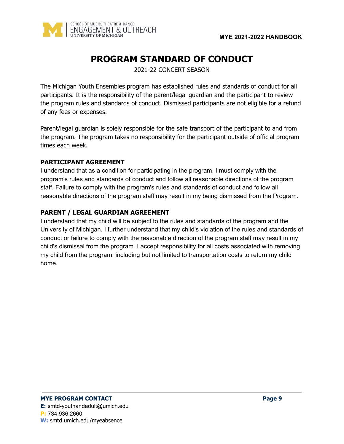

# **PROGRAM STANDARD OF CONDUCT**

2021-22 CONCERT SEASON

<span id="page-9-0"></span>The Michigan Youth Ensembles program has established rules and standards of conduct for all participants. It is the responsibility of the parent/legal guardian and the participant to review the program rules and standards of conduct. Dismissed participants are not eligible for a refund of any fees or expenses.

Parent/legal guardian is solely responsible for the safe transport of the participant to and from the program. The program takes no responsibility for the participant outside of official program times each week.

# <span id="page-9-1"></span>**PARTICIPANT AGREEMENT**

I understand that as a condition for participating in the program, I must comply with the program's rules and standards of conduct and follow all reasonable directions of the program staff. Failure to comply with the program's rules and standards of conduct and follow all reasonable directions of the program staff may result in my being dismissed from the Program.

# <span id="page-9-2"></span>**PARENT / LEGAL GUARDIAN AGREEMENT**

I understand that my child will be subject to the rules and standards of the program and the University of Michigan. I further understand that my child's violation of the rules and standards of conduct or failure to comply with the reasonable direction of the program staff may result in my child's dismissal from the program. I accept responsibility for all costs associated with removing my child from the program, including but not limited to transportation costs to return my child home.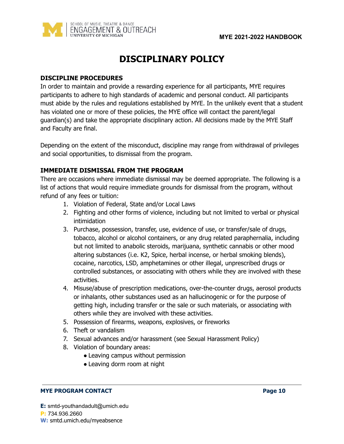

# **DISCIPLINARY POLICY**

### <span id="page-10-1"></span><span id="page-10-0"></span>**DISCIPLINE PROCEDURES**

In order to maintain and provide a rewarding experience for all participants, MYE requires participants to adhere to high standards of academic and personal conduct. All participants must abide by the rules and regulations established by MYE. In the unlikely event that a student has violated one or more of these policies, the MYE office will contact the parent/legal guardian(s) and take the appropriate disciplinary action. All decisions made by the MYE Staff and Faculty are final.

Depending on the extent of the misconduct, discipline may range from withdrawal of privileges and social opportunities, to dismissal from the program.

### <span id="page-10-2"></span>**IMMEDIATE DISMISSAL FROM THE PROGRAM**

There are occasions where immediate dismissal may be deemed appropriate. The following is a list of actions that would require immediate grounds for dismissal from the program, without refund of any fees or tuition:

- 1. Violation of Federal, State and/or Local Laws
- 2. Fighting and other forms of violence, including but not limited to verbal or physical intimidation
- 3. Purchase, possession, transfer, use, evidence of use, or transfer/sale of drugs, tobacco, alcohol or alcohol containers, or any drug related paraphernalia, including but not limited to anabolic steroids, marijuana, synthetic cannabis or other mood altering substances (i.e. K2, Spice, herbal incense, or herbal smoking blends), cocaine, narcotics, LSD, amphetamines or other illegal, unprescribed drugs or controlled substances, or associating with others while they are involved with these activities.
- 4. Misuse/abuse of prescription medications, over-the-counter drugs, aerosol products or inhalants, other substances used as an hallucinogenic or for the purpose of getting high, including transfer or the sale or such materials, or associating with others while they are involved with these activities.
- 5. Possession of firearms, weapons, explosives, or fireworks
- 6. Theft or vandalism
- 7. Sexual advances and/or harassment (see Sexual Harassment Policy)
- 8. Violation of boundary areas:
	- Leaving campus without permission
	- Leaving dorm room at night

#### **MYE PROGRAM CONTACT Page 10**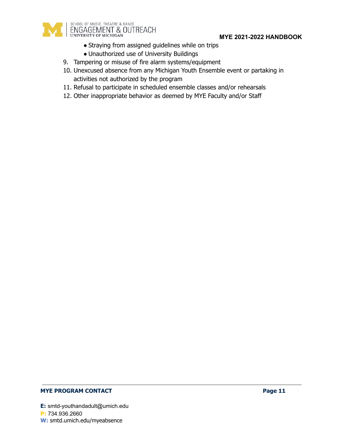

- Straying from assigned guidelines while on trips
- Unauthorized use of University Buildings
- 9. Tampering or misuse of fire alarm systems/equipment
- 10. Unexcused absence from any Michigan Youth Ensemble event or partaking in activities not authorized by the program
- 11. Refusal to participate in scheduled ensemble classes and/or rehearsals
- 12. Other inappropriate behavior as deemed by MYE Faculty and/or Staff

### **MYE PROGRAM CONTACT Page 11**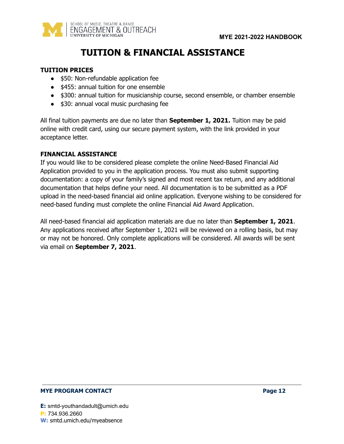<span id="page-12-0"></span>

# **TUITION & FINANCIAL ASSISTANCE**

#### <span id="page-12-1"></span>**TUITION PRICES**

- \$50: Non-refundable application fee
- \$455: annual tuition for one ensemble
- \$300: annual tuition for musicianship course, second ensemble, or chamber ensemble
- \$30: annual vocal music purchasing fee

All final tuition payments are due no later than **September 1, 2021.** Tuition may be paid online with credit card, using our secure payment system, with the link provided in your acceptance letter.

#### <span id="page-12-2"></span>**FINANCIAL ASSISTANCE**

If you would like to be considered please complete the online Need-Based Financial Aid Application provided to you in the application process. You must also submit supporting documentation: a copy of your family's signed and most recent tax return, and any additional documentation that helps define your need. All documentation is to be submitted as a PDF upload in the need-based financial aid online application. Everyone wishing to be considered for need-based funding must complete the online Financial Aid Award Application.

All need-based financial aid application materials are due no later than **September 1, 2021**. Any applications received after September 1, 2021 will be reviewed on a rolling basis, but may or may not be honored. Only complete applications will be considered. All awards will be sent via email on **September 7, 2021**.

#### **MYE PROGRAM CONTACT Page 12**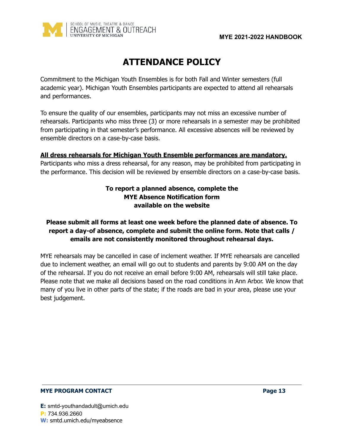

# **ATTENDANCE POLICY**

<span id="page-13-0"></span>Commitment to the Michigan Youth Ensembles is for both Fall and Winter semesters (full academic year). Michigan Youth Ensembles participants are expected to attend all rehearsals and performances.

To ensure the quality of our ensembles, participants may not miss an excessive number of rehearsals. Participants who miss three (3) or more rehearsals in a semester may be prohibited from participating in that semester's performance. All excessive absences will be reviewed by ensemble directors on a case-by-case basis.

# **All dress rehearsals for Michigan Youth Ensemble performances are mandatory.**

Participants who miss a dress rehearsal, for any reason, may be prohibited from participating in the performance. This decision will be reviewed by ensemble directors on a case-by-case basis.

# **To report a planned absence, complete the MYE Absence Notification form available on the website**

# **Please submit all forms at least one week before the planned date of absence. To report a day-of absence, complete and submit the online form. Note that calls / emails are not consistently monitored throughout rehearsal days.**

MYE rehearsals may be cancelled in case of inclement weather. If MYE rehearsals are cancelled due to inclement weather, an email will go out to students and parents by 9:00 AM on the day of the rehearsal. If you do not receive an email before 9:00 AM, rehearsals will still take place. Please note that we make all decisions based on the road conditions in Ann Arbor. We know that many of you live in other parts of the state; if the roads are bad in your area, please use your best judgement.

#### **MYE PROGRAM CONTACT Page 13**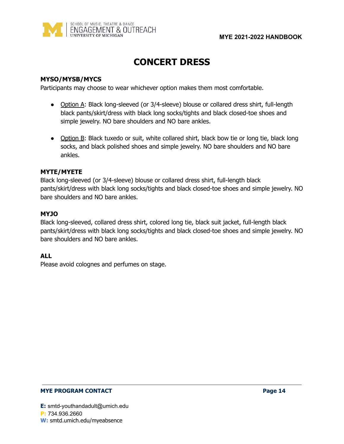

# **CONCERT DRESS**

### <span id="page-14-0"></span>**MYSO/MYSB/MYCS**

Participants may choose to wear whichever option makes them most comfortable.

- Option A: Black long-sleeved (or 3/4-sleeve) blouse or collared dress shirt, full-length black pants/skirt/dress with black long socks/tights and black closed-toe shoes and simple jewelry. NO bare shoulders and NO bare ankles.
- Option B: Black tuxedo or suit, white collared shirt, black bow tie or long tie, black long socks, and black polished shoes and simple jewelry. NO bare shoulders and NO bare ankles.

### **MYTE/MYETE**

Black long-sleeved (or 3/4-sleeve) blouse or collared dress shirt, full-length black pants/skirt/dress with black long socks/tights and black closed-toe shoes and simple jewelry. NO bare shoulders and NO bare ankles.

### **MYJO**

Black long-sleeved, collared dress shirt, colored long tie, black suit jacket, full-length black pants/skirt/dress with black long socks/tights and black closed-toe shoes and simple jewelry. NO bare shoulders and NO bare ankles.

# **ALL**

Please avoid colognes and perfumes on stage.

#### **MYE PROGRAM CONTACT Page 14**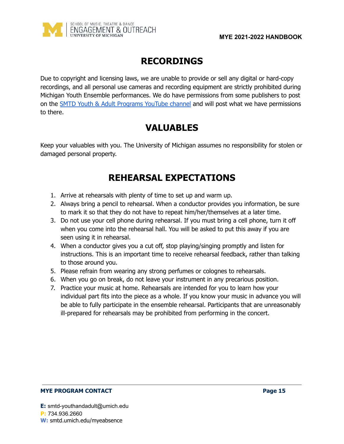

# **RECORDINGS**

<span id="page-15-0"></span>Due to copyright and licensing laws, we are unable to provide or sell any digital or hard-copy recordings, and all personal use cameras and recording equipment are strictly prohibited during Michigan Youth Ensemble performances. We do have permissions from some publishers to post on the SMTD Youth & Adult [Programs](https://www.youtube.com/playlist?list=PLVy2jdQD7GRy_gOJl0l0yMABuWnWTBISl) YouTube channel and will post what we have permissions to there.

# **VALUABLES**

<span id="page-15-2"></span><span id="page-15-1"></span>Keep your valuables with you. The University of Michigan assumes no responsibility for stolen or damaged personal property.

# **REHEARSAL EXPECTATIONS**

- 1. Arrive at rehearsals with plenty of time to set up and warm up.
- 2. Always bring a pencil to rehearsal. When a conductor provides you information, be sure to mark it so that they do not have to repeat him/her/themselves at a later time.
- 3. Do not use your cell phone during rehearsal. If you must bring a cell phone, turn it off when you come into the rehearsal hall. You will be asked to put this away if you are seen using it in rehearsal.
- 4. When a conductor gives you a cut off, stop playing/singing promptly and listen for instructions. This is an important time to receive rehearsal feedback, rather than talking to those around you.
- 5. Please refrain from wearing any strong perfumes or colognes to rehearsals.
- 6. When you go on break, do not leave your instrument in any precarious position.
- 7. Practice your music at home. Rehearsals are intended for you to learn how your individual part fits into the piece as a whole. If you know your music in advance you will be able to fully participate in the ensemble rehearsal. Participants that are unreasonably ill-prepared for rehearsals may be prohibited from performing in the concert.

### **MYE PROGRAM CONTACT Page 15**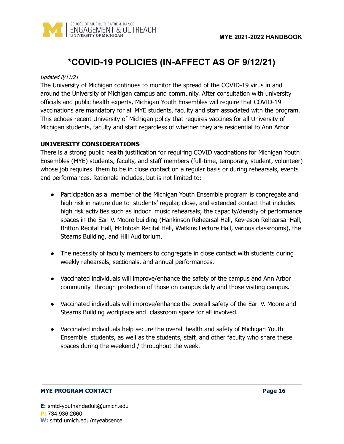



# **\*COVID-19 POLICIES (IN-AFFECT AS OF 9/12/21)**

#### <span id="page-16-0"></span>Updated 8/11/21

The University of Michigan continues to monitor the spread of the COVID-19 virus in and around the University of Michigan campus and community. After consultation with university officials and public health experts, Michigan Youth Ensembles will require that COVID-19 vaccinations are mandatory for all MYE students, faculty and staff associated with the program. This echoes recent University of Michigan policy that requires vaccines for all University of Michigan students, faculty and staff regardless of whether they are residential to Ann Arbor

#### **UNIVERSITY CONSIDERATIONS**

There is a strong public health justification for requiring COVID vaccinations for Michigan Youth Ensembles (MYE) students, faculty, and staff members (full-time, temporary, student, volunteer) whose job requires them to be in close contact on a regular basis or during rehearsals, events and performances. Rationale includes, but is not limited to:

- Participation as a member of the Michigan Youth Ensemble program is congregate and high risk in nature due to students' regular, close, and extended contact that includes high risk activities such as indoor music rehearsals; the capacity/density of performance spaces in the Earl V. Moore building (Hankinson Rehearsal Hall, Kevreson Rehearsal Hall, Britton Recital Hall, McIntosh Recital Hall, Watkins Lecture Hall, various classrooms), the Stearns Building, and Hill Auditorium.
- The necessity of faculty members to congregate in close contact with students during weekly rehearsals, sectionals, and annual performances.
- Vaccinated individuals will improve/enhance the safety of the campus and Ann Arbor community through protection of those on campus daily and those visiting campus.
- Vaccinated individuals will improve/enhance the overall safety of the Earl V. Moore and Stearns Building workplace and classroom space for all involved.
- Vaccinated individuals help secure the overall health and safety of Michigan Youth Ensemble students, as well as the students, staff, and other faculty who share these spaces during the weekend / throughout the week.

#### **MYE PROGRAM CONTACT Page 16**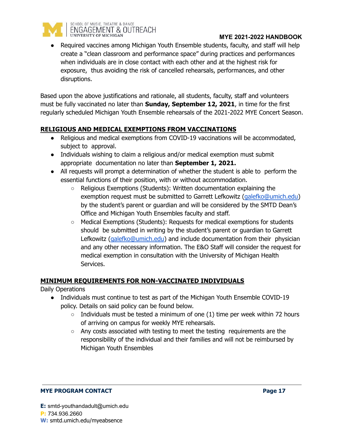

• Required vaccines among Michigan Youth Ensemble students, faculty, and staff will help create a "clean classroom and performance space" during practices and performances when individuals are in close contact with each other and at the highest risk for exposure, thus avoiding the risk of cancelled rehearsals, performances, and other disruptions.

Based upon the above justifications and rationale, all students, faculty, staff and volunteers must be fully vaccinated no later than **Sunday, September 12, 2021**, in time for the first regularly scheduled Michigan Youth Ensemble rehearsals of the 2021-2022 MYE Concert Season.

# **RELIGIOUS AND MEDICAL EXEMPTIONS FROM VACCINATIONS**

- Religious and medical exemptions from COVID-19 vaccinations will be accommodated, subject to approval.
- Individuals wishing to claim a religious and/or medical exemption must submit appropriate documentation no later than **September 1, 2021.**
- All requests will prompt a determination of whether the student is able to perform the essential functions of their position, with or without accommodation.
	- Religious Exemptions (Students): Written documentation explaining the exemption request must be submitted to Garrett Lefkowitz [\(galefko@umich.edu\)](mailto:galefko@umich.edu) by the student's parent or guardian and will be considered by the SMTD Dean's Office and Michigan Youth Ensembles faculty and staff.
	- Medical Exemptions (Students): Requests for medical exemptions for students should be submitted in writing by the student's parent or guardian to Garrett Lefkowitz ([galefko@umich.edu](mailto:galefko@umich.edu)) and include documentation from their physician and any other necessary information. The E&O Staff will consider the request for medical exemption in consultation with the University of Michigan Health Services.

# **MINIMUM REQUIREMENTS FOR NON-VACCINATED INDIVIDUALS**

Daily Operations

- Individuals must continue to test as part of the Michigan Youth Ensemble COVID-19 policy. Details on said policy can be found below.
	- $\circ$  Individuals must be tested a minimum of one (1) time per week within 72 hours of arriving on campus for weekly MYE rehearsals.
	- $\circ$  Any costs associated with testing to meet the testing requirements are the responsibility of the individual and their families and will not be reimbursed by Michigan Youth Ensembles

#### **MYE PROGRAM CONTACT Page 17**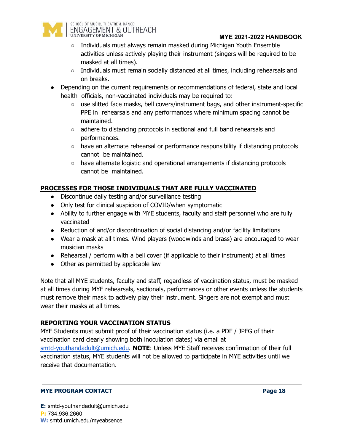

- Individuals must always remain masked during Michigan Youth Ensemble activities unless actively playing their instrument (singers will be required to be masked at all times).
- Individuals must remain socially distanced at all times, including rehearsals and on breaks.
- Depending on the current requirements or recommendations of federal, state and local health officials, non-vaccinated individuals may be required to:
	- use slitted face masks, bell covers/instrument bags, and other instrument-specific PPE in rehearsals and any performances where minimum spacing cannot be maintained.
	- adhere to distancing protocols in sectional and full band rehearsals and performances.
	- $\circ$  have an alternate rehearsal or performance responsibility if distancing protocols cannot be maintained.
	- have alternate logistic and operational arrangements if distancing protocols cannot be maintained.

# **PROCESSES FOR THOSE INDIVIDUALS THAT ARE FULLY VACCINATED**

- Discontinue daily testing and/or surveillance testing
- Only test for clinical suspicion of COVID/when symptomatic
- Ability to further engage with MYE students, faculty and staff personnel who are fully vaccinated
- Reduction of and/or discontinuation of social distancing and/or facility limitations
- Wear a mask at all times. Wind players (woodwinds and brass) are encouraged to wear musician masks
- Rehearsal / perform with a bell cover (if applicable to their instrument) at all times
- Other as permitted by applicable law

Note that all MYE students, faculty and staff, regardless of vaccination status, must be masked at all times during MYE rehearsals, sectionals, performances or other events unless the students must remove their mask to actively play their instrument. Singers are not exempt and must wear their masks at all times.

# **REPORTING YOUR VACCINATION STATUS**

MYE Students must submit proof of their vaccination status (i.e. a PDF / JPEG of their vaccination card clearly showing both inoculation dates) via email at [smtd-youthandadult@umich.edu.](mailto:smtd-youthandadult@umich.edu) **NOTE**: Unless MYE Staff receives confirmation of their full vaccination status, MYE students will not be allowed to participate in MYE activities until we receive that documentation.

### **MYE PROGRAM CONTACT Page 18**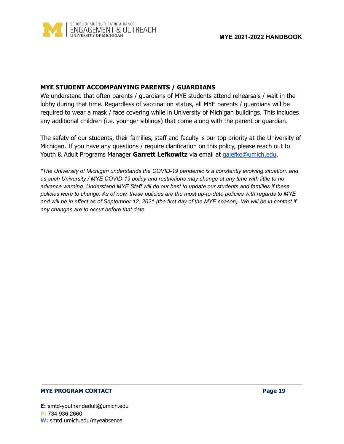

### **MYE STUDENT ACCOMPANYING PARENTS / GUARDIANS**

We understand that often parents / guardians of MYE students attend rehearsals / wait in the lobby during that time. Regardless of vaccination status, all MYE parents / guardians will be required to wear a mask / face covering while in University of Michigan buildings. This includes any additional children (i.e. younger siblings) that come along with the parent or guardian.

The safety of our students, their families, staff and faculty is our top priority at the University of Michigan. If you have any questions / require clarification on this policy, please reach out to Youth & Adult Programs Manager **Garrett Lefkowitz** via email at [galefko@umich.edu](mailto:galefko@umich.edu).

*\*The University of Michigan understands the COVID-19 pandemic is a constantly evolving situation, and as such University / MYE COVID-19 policy and restrictions may change at any time with little to no advance warning. Understand MYE Staff will do our best to update our students and families if these* policies were to change. As of now, these policies are the most up-to-date policies with regards to MYE and will be in effect as of September 12, 2021 (the first day of the MYE season). We will be in contact if *any changes are to occur before that date.*

#### **MYE PROGRAM CONTACT Page 19**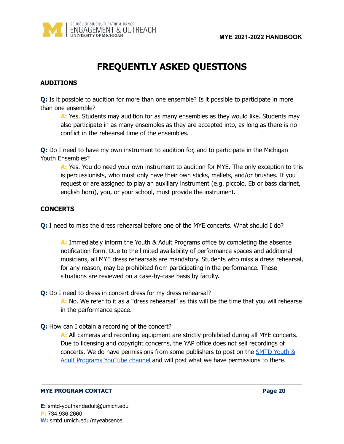

# **FREQUENTLY ASKED QUESTIONS**

### <span id="page-20-0"></span>**AUDITIONS**

**Q:** Is it possible to audition for more than one ensemble? Is it possible to participate in more than one ensemble?

**A:** Yes. Students may audition for as many ensembles as they would like. Students may also participate in as many ensembles as they are accepted into, as long as there is no conflict in the rehearsal time of the ensembles.

**Q:** Do I need to have my own instrument to audition for, and to participate in the Michigan Youth Ensembles?

**A:** Yes. You do need your own instrument to audition for MYE. The only exception to this is percussionists, who must only have their own sticks, mallets, and/or brushes. If you request or are assigned to play an auxiliary instrument (e.g. piccolo, Eb or bass clarinet, english horn), you, or your school, must provide the instrument.

# **CONCERTS**

**Q:** I need to miss the dress rehearsal before one of the MYE concerts. What should I do?

**A:** Immediately inform the Youth & Adult Programs office by completing the absence notification form. Due to the limited availability of performance spaces and additional musicians, all MYE dress rehearsals are mandatory. Students who miss a dress rehearsal, for any reason, may be prohibited from participating in the performance. These situations are reviewed on a case-by-case basis by faculty.

### **Q:** Do I need to dress in concert dress for my dress rehearsal?

A: No. We refer to it as a "dress rehearsal" as this will be the time that you will rehearse in the performance space.

### **Q:** How can I obtain a recording of the concert?

**A:** All cameras and recording equipment are strictly prohibited during all MYE concerts. Due to licensing and copyright concerns, the YAP office does not sell recordings of concerts. We do have permissions from some publishers to post on the [SMTD](https://www.youtube.com/playlist?list=PLVy2jdQD7GRy_gOJl0l0yMABuWnWTBISl) Youth & Adult [Programs](https://www.youtube.com/playlist?list=PLVy2jdQD7GRy_gOJl0l0yMABuWnWTBISl) YouTube channel and will post what we have permissions to there.

#### **MYE PROGRAM CONTACT Page 20**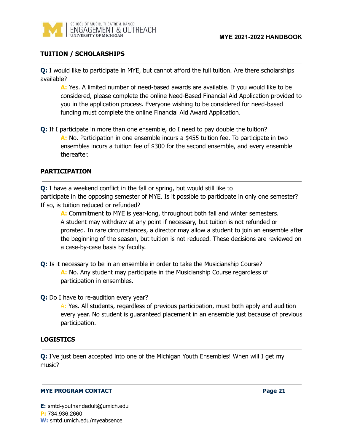

# **TUITION / SCHOLARSHIPS**

**Q:** I would like to participate in MYE, but cannot afford the full tuition. Are there scholarships available?

**A:** Yes. A limited number of need-based awards are available. If you would like to be considered, please complete the online Need-Based Financial Aid Application provided to you in the application process. Everyone wishing to be considered for need-based funding must complete the online Financial Aid Award Application.

**Q:** If I participate in more than one ensemble, do I need to pay double the tuition? **A:** No. Participation in one ensemble incurs a \$455 tuition fee. To participate in two ensembles incurs a tuition fee of \$300 for the second ensemble, and every ensemble thereafter.

# **PARTICIPATION**

**Q:** I have a weekend conflict in the fall or spring, but would still like to participate in the opposing semester of MYE. Is it possible to participate in only one semester? If so, is tuition reduced or refunded?

**A:** Commitment to MYE is year-long, throughout both fall and winter semesters. A student may withdraw at any point if necessary, but tuition is not refunded or prorated. In rare circumstances, a director may allow a student to join an ensemble after the beginning of the season, but tuition is not reduced. These decisions are reviewed on a case-by-case basis by faculty.

- **Q:** Is it necessary to be in an ensemble in order to take the Musicianship Course? **A:** No. Any student may participate in the Musicianship Course regardless of participation in ensembles.
- **Q:** Do I have to re-audition every year?

A: Yes. All students, regardless of previous participation, must both apply and audition every year. No student is guaranteed placement in an ensemble just because of previous participation.

# **LOGISTICS**

**Q:** I've just been accepted into one of the Michigan Youth Ensembles! When will I get my music?

#### **MYE PROGRAM CONTACT Page 21**